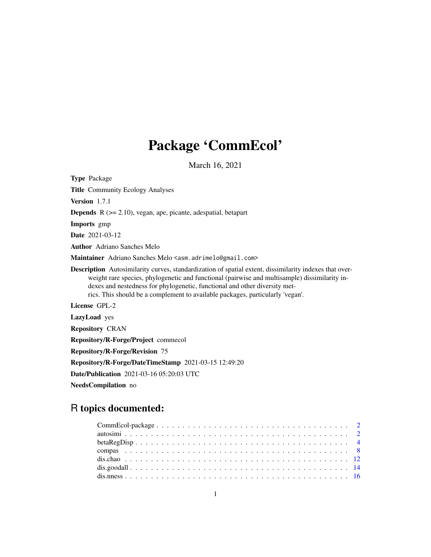# Package 'CommEcol'

March 16, 2021

<span id="page-0-0"></span>Type Package Title Community Ecology Analyses Version 1.7.1 Depends R (>= 2.10), vegan, ape, picante, adespatial, betapart Imports gmp Date 2021-03-12 Author Adriano Sanches Melo Maintainer Adriano Sanches Melo <asm.adrimelo@gmail.com> Description Autosimilarity curves, standardization of spatial extent, dissimilarity indexes that overweight rare species, phylogenetic and functional (pairwise and multisample) dissimilarity indexes and nestedness for phylogenetic, functional and other diversity metrics. This should be a complement to available packages, particularly 'vegan'. License GPL-2 LazyLoad yes Repository CRAN Repository/R-Forge/Project commecol Repository/R-Forge/Revision 75 Repository/R-Forge/DateTimeStamp 2021-03-15 12:49:20 Date/Publication 2021-03-16 05:20:03 UTC

NeedsCompilation no

# R topics documented: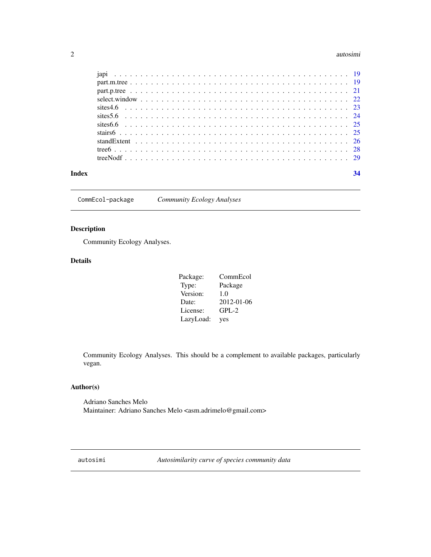#### <span id="page-1-0"></span>2 autosimi autosimi autosimi autosimi autosimi autosimi autosimi autosimi autosimi autosimi autosimi autosimi

|  |  |  |  |  |  |  |  |  |  |  |  |  |  |  | 34 |
|--|--|--|--|--|--|--|--|--|--|--|--|--|--|--|----|
|  |  |  |  |  |  |  |  |  |  |  |  |  |  |  |    |
|  |  |  |  |  |  |  |  |  |  |  |  |  |  |  |    |
|  |  |  |  |  |  |  |  |  |  |  |  |  |  |  |    |
|  |  |  |  |  |  |  |  |  |  |  |  |  |  |  |    |
|  |  |  |  |  |  |  |  |  |  |  |  |  |  |  |    |
|  |  |  |  |  |  |  |  |  |  |  |  |  |  |  |    |
|  |  |  |  |  |  |  |  |  |  |  |  |  |  |  |    |
|  |  |  |  |  |  |  |  |  |  |  |  |  |  |  |    |
|  |  |  |  |  |  |  |  |  |  |  |  |  |  |  |    |
|  |  |  |  |  |  |  |  |  |  |  |  |  |  |  |    |
|  |  |  |  |  |  |  |  |  |  |  |  |  |  |  |    |

CommEcol-package *Community Ecology Analyses*

# Description

Community Ecology Analyses.

# Details

| Package:  | CommEcol   |
|-----------|------------|
| Type:     | Package    |
| Version:  | 1.0        |
| Date:     | 2012-01-06 |
| License:  | $GPL-2$    |
| LazyLoad: | yes        |

Community Ecology Analyses. This should be a complement to available packages, particularly vegan.

# Author(s)

Adriano Sanches Melo Maintainer: Adriano Sanches Melo <asm.adrimelo@gmail.com>

autosimi *Autosimilarity curve of species community data*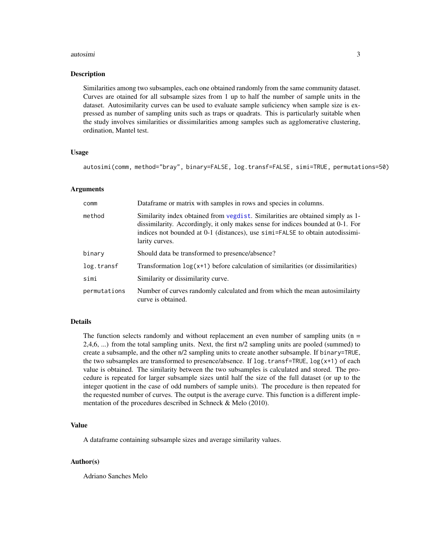#### <span id="page-2-0"></span>autosimi 3

#### Description

Similarities among two subsamples, each one obtained randomly from the same community dataset. Curves are otained for all subsample sizes from 1 up to half the number of sample units in the dataset. Autosimilarity curves can be used to evaluate sample suficiency when sample size is expressed as number of sampling units such as traps or quadrats. This is particularly suitable when the study involves similarities or dissimilarities among samples such as agglomerative clustering, ordination, Mantel test.

#### Usage

autosimi(comm, method="bray", binary=FALSE, log.transf=FALSE, simi=TRUE, permutations=50)

#### Arguments

| comm         | Dataframe or matrix with samples in rows and species in columns.                                                                                                                                                                                                     |
|--------------|----------------------------------------------------------------------------------------------------------------------------------------------------------------------------------------------------------------------------------------------------------------------|
| method       | Similarity index obtained from vegdist. Similarities are obtained simply as 1-<br>dissimilarity. Accordingly, it only makes sense for indices bounded at 0-1. For<br>indices not bounded at 0-1 (distances), use simi=FALSE to obtain autodissimi-<br>larity curves. |
| binary       | Should data be transformed to presence/absence?                                                                                                                                                                                                                      |
| log.transf   | Transformation $log(x+1)$ before calculation of similarities (or dissimilarities)                                                                                                                                                                                    |
| simi         | Similarity or dissimilarity curve.                                                                                                                                                                                                                                   |
| permutations | Number of curves randomly calculated and from which the mean autosimilairty<br>curve is obtained.                                                                                                                                                                    |

# Details

The function selects randomly and without replacement an even number of sampling units ( $n =$ 2,4,6, ...) from the total sampling units. Next, the first n/2 sampling units are pooled (summed) to create a subsample, and the other n/2 sampling units to create another subsample. If binary=TRUE, the two subsamples are transformed to presence/absence. If  $\log$ , transf=TRUE,  $\log(x+1)$  of each value is obtained. The similarity between the two subsamples is calculated and stored. The procedure is repeated for larger subsample sizes until half the size of the full dataset (or up to the integer quotient in the case of odd numbers of sample units). The procedure is then repeated for the requested number of curves. The output is the average curve. This function is a different implementation of the procedures described in Schneck & Melo (2010).

# Value

A dataframe containing subsample sizes and average similarity values.

#### Author(s)

Adriano Sanches Melo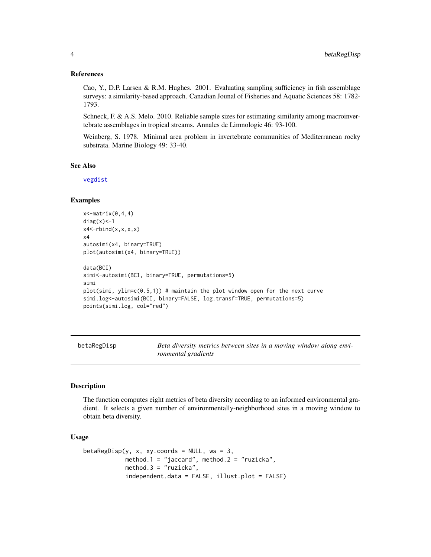#### <span id="page-3-0"></span>References

Cao, Y., D.P. Larsen & R.M. Hughes. 2001. Evaluating sampling sufficiency in fish assemblage surveys: a similarity-based approach. Canadian Jounal of Fisheries and Aquatic Sciences 58: 1782- 1793.

Schneck, F. & A.S. Melo. 2010. Reliable sample sizes for estimating similarity among macroinvertebrate assemblages in tropical streams. Annales de Limnologie 46: 93-100.

Weinberg, S. 1978. Minimal area problem in invertebrate communities of Mediterranean rocky substrata. Marine Biology 49: 33-40.

# See Also

[vegdist](#page-0-0)

#### Examples

```
x <- matrix (0, 4, 4)diag(x) <-1
x4<-rbind(x,x,x,x)
x4
autosimi(x4, binary=TRUE)
plot(autosimi(x4, binary=TRUE))
data(BCI)
simi<-autosimi(BCI, binary=TRUE, permutations=5)
simi
plot(simi, ylim=c(0.5,1)) # maintain the plot window open for the next curve
simi.log<-autosimi(BCI, binary=FALSE, log.transf=TRUE, permutations=5)
points(simi.log, col="red")
```
betaRegDisp *Beta diversity metrics between sites in a moving window along environmental gradients*

#### Description

The function computes eight metrics of beta diversity according to an informed environmental gradient. It selects a given number of environmentally-neighborhood sites in a moving window to obtain beta diversity.

# Usage

```
betaRegDisp(y, x, xy. coords = NULL, ws = 3,method.1 = "jaccard", method.2 = "ruzicka",
            method.3 = "ruzicka",
            independent.data = FALSE, illust.plot = FALSE)
```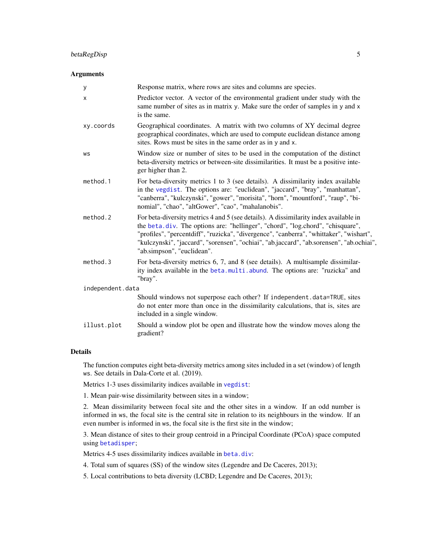# <span id="page-4-0"></span>Arguments

| У                | Response matrix, where rows are sites and columns are species.                                                                                                                                                                                                                                                                                                                              |
|------------------|---------------------------------------------------------------------------------------------------------------------------------------------------------------------------------------------------------------------------------------------------------------------------------------------------------------------------------------------------------------------------------------------|
| X                | Predictor vector. A vector of the environmental gradient under study with the<br>same number of sites as in matrix y. Make sure the order of samples in y and x<br>is the same.                                                                                                                                                                                                             |
| xy.coords        | Geographical coordinates. A matrix with two columns of XY decimal degree<br>geographical coordinates, which are used to compute euclidean distance among<br>sites. Rows must be sites in the same order as in y and x.                                                                                                                                                                      |
| WS               | Window size or number of sites to be used in the computation of the distinct<br>beta-diversity metrics or between-site dissimilarities. It must be a positive inte-<br>ger higher than 2.                                                                                                                                                                                                   |
| method.1         | For beta-diversity metrics 1 to 3 (see details). A dissimilarity index available<br>in the vegdist. The options are: "euclidean", "jaccard", "bray", "manhattan",<br>"canberra", "kulczynski", "gower", "morisita", "horn", "mountford", "raup", "bi-<br>nomial", "chao", "altGower", "cao", "mahalanobis".                                                                                 |
| method.2         | For beta-diversity metrics 4 and 5 (see details). A dissimilarity index available in<br>the beta.div. The options are: "hellinger", "chord", "log.chord", "chisquare",<br>"profiles", "percentdiff", "ruzicka", "divergence", "canberra", "whittaker", "wishart",<br>"kulczynski", "jaccard", "sorensen", "ochiai", "ab.jaccard", "ab.sorensen", "ab.ochiai",<br>"ab.simpson", "euclidean". |
| method.3         | For beta-diversity metrics 6, 7, and 8 (see details). A multisample dissimilar-<br>ity index available in the beta.multi.abund. The options are: "ruzicka" and<br>"bray".                                                                                                                                                                                                                   |
| independent.data |                                                                                                                                                                                                                                                                                                                                                                                             |
|                  | Should windows not superpose each other? If independent.data=TRUE, sites<br>do not enter more than once in the dissimilarity calculations, that is, sites are<br>included in a single window.                                                                                                                                                                                               |
| illust.plot      | Should a window plot be open and illustrate how the window moves along the<br>gradient?                                                                                                                                                                                                                                                                                                     |

# Details

The function computes eight beta-diversity metrics among sites included in a set (window) of length ws. See details in Dala-Corte et al. (2019).

Metrics 1-3 uses dissimilarity indices available in [vegdist](#page-0-0):

1. Mean pair-wise dissimilarity between sites in a window;

2. Mean dissimilarity between focal site and the other sites in a window. If an odd number is informed in ws, the focal site is the central site in relation to its neighbours in the window. If an even number is informed in ws, the focal site is the first site in the window;

3. Mean distance of sites to their group centroid in a Principal Coordinate (PCoA) space computed using [betadisper](#page-0-0);

Metrics 4-5 uses dissimilarity indices available in [beta.div](#page-0-0):

4. Total sum of squares (SS) of the window sites (Legendre and De Caceres, 2013);

5. Local contributions to beta diversity (LCBD; Legendre and De Caceres, 2013);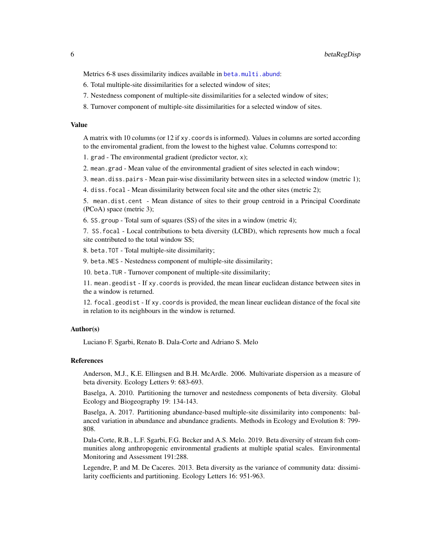<span id="page-5-0"></span>Metrics 6-8 uses dissimilarity indices available in [beta.multi.abund](#page-0-0):

- 6. Total multiple-site dissimilarities for a selected window of sites;
- 7. Nestedness component of multiple-site dissimilarities for a selected window of sites;
- 8. Turnover component of multiple-site dissimilarities for a selected window of sites.

## Value

A matrix with 10 columns (or 12 if xy.coords is informed). Values in columns are sorted according to the enviromental gradient, from the lowest to the highest value. Columns correspond to:

1. grad - The environmental gradient (predictor vector, x);

2. mean.grad - Mean value of the environmental gradient of sites selected in each window;

3. mean.diss.pairs - Mean pair-wise dissimilarity between sites in a selected window (metric 1);

4. diss.focal - Mean dissimilarity between focal site and the other sites (metric 2);

5. mean.dist.cent - Mean distance of sites to their group centroid in a Principal Coordinate (PCoA) space (metric 3);

6. SS.group - Total sum of squares (SS) of the sites in a window (metric 4);

7. SS.focal - Local contributions to beta diversity (LCBD), which represents how much a focal site contributed to the total window SS;

8. beta.TOT - Total multiple-site dissimilarity;

9. beta.NES - Nestedness component of multiple-site dissimilarity;

10. beta.TUR - Turnover component of multiple-site dissimilarity;

11. mean.geodist - If xy.coords is provided, the mean linear euclidean distance between sites in the a window is returned.

12. focal.geodist - If xy.coords is provided, the mean linear euclidean distance of the focal site in relation to its neighbours in the window is returned.

# Author(s)

Luciano F. Sgarbi, Renato B. Dala-Corte and Adriano S. Melo

# References

Anderson, M.J., K.E. Ellingsen and B.H. McArdle. 2006. Multivariate dispersion as a measure of beta diversity. Ecology Letters 9: 683-693.

Baselga, A. 2010. Partitioning the turnover and nestedness components of beta diversity. Global Ecology and Biogeography 19: 134-143.

Baselga, A. 2017. Partitioning abundance-based multiple-site dissimilarity into components: balanced variation in abundance and abundance gradients. Methods in Ecology and Evolution 8: 799- 808.

Dala-Corte, R.B., L.F. Sgarbi, F.G. Becker and A.S. Melo. 2019. Beta diversity of stream fish communities along anthropogenic environmental gradients at multiple spatial scales. Environmental Monitoring and Assessment 191:288.

Legendre, P. and M. De Caceres. 2013. Beta diversity as the variance of community data: dissimilarity coefficients and partitioning. Ecology Letters 16: 951-963.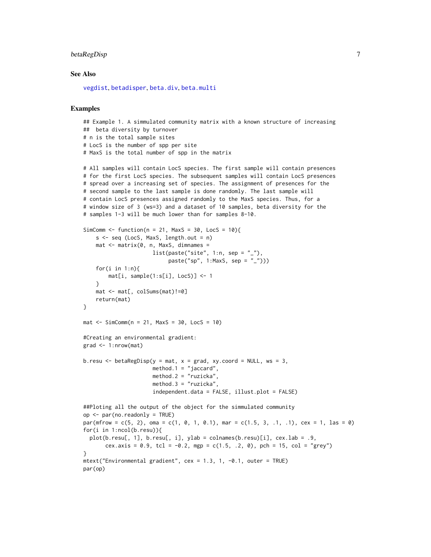# <span id="page-6-0"></span>betaRegDisp 7

#### See Also

[vegdist](#page-0-0), [betadisper](#page-0-0), [beta.div](#page-0-0), [beta.multi](#page-0-0)

#### Examples

## Example 1. A simmulated community matrix with a known structure of increasing ## beta diversity by turnover # n is the total sample sites # LocS is the number of spp per site # MaxS is the total number of spp in the matrix

```
# All samples will contain LocS species. The first sample will contain presences
# for the first LocS species. The subsequent samples will contain LocS presences
# spread over a increasing set of species. The assignment of presences for the
# second sample to the last sample is done randomly. The last sample will
# contain LocS presences assigned randomly to the MaxS species. Thus, for a
# window size of 3 (ws=3) and a dataset of 10 samples, beta diversity for the
# samples 1-3 will be much lower than for samples 8-10.
SimComm <- function(n = 21, MaxS = 30, LocS = 10){
    s \leq -seq (LocS, MaxS, length.out = n)
    mat < -matrix(0, n, MaxS, dimnames =list(paste("site", 1:n, sep = "__"),
                           paste("sp", 1:MaxS, sep = "_")))
    for(i in 1:n){
        mat[i, sample(1:s[i], LocS)] <- 1
    }
    mat <- mat[, colSums(mat)!=0]
    return(mat)
}
mat < - SimComm(n = 21, \text{MaxS} = 30, \text{LocS} = 10)#Creating an environmental gradient:
grad <- 1:nrow(mat)
```

```
b.resu \leq betaRegDisp(y = mat, x = grad, xy.coord = NULL, ws = 3,
                      method.1 = "jaccard",method.2 = "ruzicka",
                      method.3 = "ruzicka",
                      independent.data = FALSE, illust.plot = FALSE)
```

```
##Ploting all the output of the object for the simmulated community
op <- par(no.readonly = TRUE)
par(mfrow = c(5, 2), oma = c(1, 0, 1, 0.1), mar = c(1.5, 3, .1, .1), cex = 1, las = 0)for(i in 1:ncol(b.resu)){
 plot(b.resu[, 1], b.resu[, i], ylab = colnames(b.resu)[i], cex.lab = .9,
      cex.axis = 0.9, tcl = -0.2, mgp = c(1.5, .2, 0), pch = 15, col = "grey")
}
mtext("Environmental gradient", cex = 1.3, 1, -0.1, outer = TRUE)
par(op)
```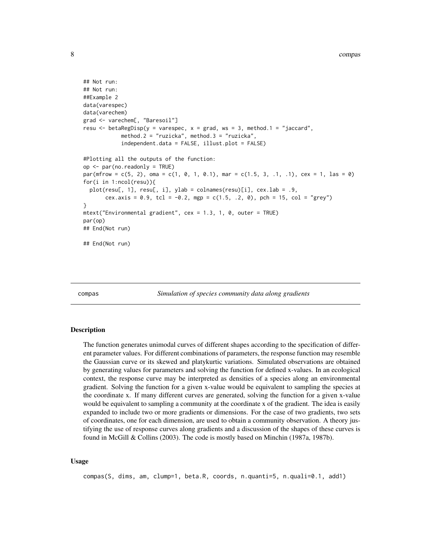```
## Not run:
## Not run:
##Example 2
data(varespec)
data(varechem)
grad <- varechem[, "Baresoil"]
resu \le betaRegDisp(y = varespec, x = grad, ws = 3, method.1 = "jaccard",
            method.2 = "ruzicka", method.3 = "ruzicka",
            independent.data = FALSE, illust.plot = FALSE)
#Plotting all the outputs of the function:
op <- par(no.readonly = TRUE)
par(mfrow = c(5, 2), oma = c(1, 0, 1, 0.1), mar = c(1.5, 3, .1, .1), cex = 1, las = 0)for(i in 1:ncol(resu)){
 plot(resu[, 1], resu[, i], ylab = colnames(resu)[i], cex.lab = .9,
       cex.axis = 0.9, tcl = -0.2, mgp = c(1.5, .2, 0), pch = 15, col = "grey")
}
mtext("Environmental gradient", cex = 1.3, 1, 0, outer = TRUE)
par(op)
## End(Not run)
## End(Not run)
```
compas *Simulation of species community data along gradients*

#### **Description**

The function generates unimodal curves of different shapes according to the specification of different parameter values. For different combinations of parameters, the response function may resemble the Gaussian curve or its skewed and platykurtic variations. Simulated observations are obtained by generating values for parameters and solving the function for defined x-values. In an ecological context, the response curve may be interpreted as densities of a species along an environmental gradient. Solving the function for a given x-value would be equivalent to sampling the species at the coordinate x. If many different curves are generated, solving the function for a given x-value would be equivalent to sampling a community at the coordinate x of the gradient. The idea is easily expanded to include two or more gradients or dimensions. For the case of two gradients, two sets of coordinates, one for each dimension, are used to obtain a community observation. A theory justifying the use of response curves along gradients and a discussion of the shapes of these curves is found in McGill & Collins (2003). The code is mostly based on Minchin (1987a, 1987b).

#### Usage

compas(S, dims, am, clump=1, beta.R, coords, n.quanti=5, n.quali=0.1, add1)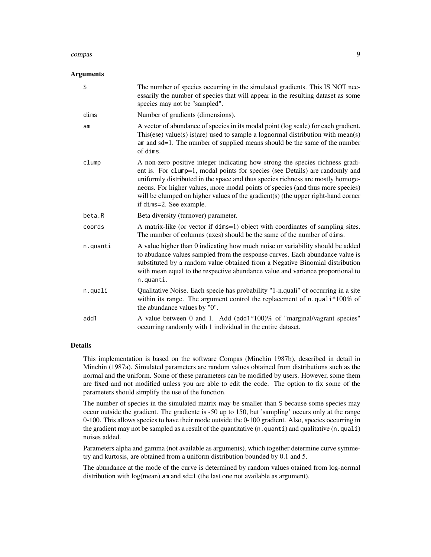#### compas 9

#### Arguments

| S        | The number of species occurring in the simulated gradients. This IS NOT nec-<br>essarily the number of species that will appear in the resulting dataset as some<br>species may not be "sampled".                                                                                                                                                                                                                                                 |
|----------|---------------------------------------------------------------------------------------------------------------------------------------------------------------------------------------------------------------------------------------------------------------------------------------------------------------------------------------------------------------------------------------------------------------------------------------------------|
| dims     | Number of gradients (dimensions).                                                                                                                                                                                                                                                                                                                                                                                                                 |
| am       | A vector of abundance of species in its modal point (log scale) for each gradient.<br>This (ese) value(s) is (are) used to sample a lognormal distribution with mean(s)<br>am and sd=1. The number of supplied means should be the same of the number<br>of dims.                                                                                                                                                                                 |
| clump    | A non-zero positive integer indicating how strong the species richness gradi-<br>ent is. For clump=1, modal points for species (see Details) are randomly and<br>uniformly distributed in the space and thus species richness are mostly homoge-<br>neous. For higher values, more modal points of species (and thus more species)<br>will be clumped on higher values of the gradient(s) (the upper right-hand corner<br>if dims=2. See example. |
| beta.R   | Beta diversity (turnover) parameter.                                                                                                                                                                                                                                                                                                                                                                                                              |
| coords   | A matrix-like (or vector if dims=1) object with coordinates of sampling sites.<br>The number of columns (axes) should be the same of the number of dims.                                                                                                                                                                                                                                                                                          |
| n.quanti | A value higher than 0 indicating how much noise or variability should be added<br>to abudance values sampled from the response curves. Each abundance value is<br>substituted by a random value obtained from a Negative Binomial distribution<br>with mean equal to the respective abundance value and variance proportional to<br>n.quanti.                                                                                                     |
| n.quali  | Qualitative Noise. Each specie has probability "1-n.quali" of occurring in a site<br>within its range. The argument control the replacement of n.quali*100% of<br>the abundance values by "0".                                                                                                                                                                                                                                                    |
| add1     | A value between 0 and 1. Add (add1*100)% of "marginal/vagrant species"<br>occurring randomly with 1 individual in the entire dataset.                                                                                                                                                                                                                                                                                                             |

#### Details

This implementation is based on the software Compas (Minchin 1987b), described in detail in Minchin (1987a). Simulated parameters are random values obtained from distributions such as the normal and the uniform. Some of these parameters can be modified by users. However, some them are fixed and not modified unless you are able to edit the code. The option to fix some of the parameters should simplify the use of the function.

The number of species in the simulated matrix may be smaller than S because some species may occur outside the gradient. The gradiente is -50 up to 150, but 'sampling' occurs only at the range 0-100. This allows species to have their mode outside the 0-100 gradient. Also, species occurring in the gradient may not be sampled as a result of the quantitative (n.quanti) and qualitative (n.quali) noises added.

Parameters alpha and gamma (not available as arguments), which together determine curve symmetry and kurtosis, are obtained from a uniform distribution bounded by 0.1 and 5.

The abundance at the mode of the curve is determined by random values otained from log-normal distribution with log(mean) am and sd=1 (the last one not available as argument).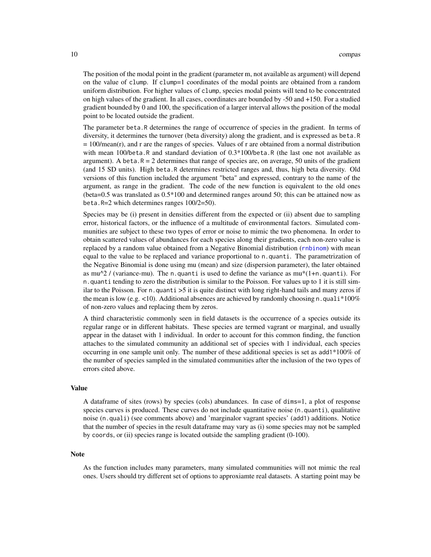<span id="page-9-0"></span>The position of the modal point in the gradient (parameter m, not available as argument) will depend on the value of clump. If clump=1 coordinates of the modal points are obtained from a random uniform distribution. For higher values of clump, species modal points will tend to be concentrated on high values of the gradient. In all cases, coordinates are bounded by -50 and +150. For a studied gradient bounded by 0 and 100, the specification of a larger interval allows the position of the modal point to be located outside the gradient.

The parameter beta.R determines the range of occurrence of species in the gradient. In terms of diversity, it determines the turnover (beta diversity) along the gradient, and is expressed as beta.R  $= 100/mean(r)$ , and r are the ranges of species. Values of r are obtained from a normal distribution with mean 100/beta.R and standard deviation of 0.3\*100/beta.R (the last one not available as argument). A beta. $R = 2$  determines that range of species are, on average, 50 units of the gradient (and 15 SD units). High beta.R determines restricted ranges and, thus, high beta diversity. Old versions of this function included the argument "beta" and expressed, contrary to the name of the argument, as range in the gradient. The code of the new function is equivalent to the old ones (beta=0.5 was translated as 0.5\*100 and determined ranges around 50; this can be attained now as beta.R=2 which determines ranges 100/2=50).

Species may be (i) present in densities different from the expected or (ii) absent due to sampling error, historical factors, or the influence of a multitude of environmental factors. Simulated communities are subject to these two types of error or noise to mimic the two phenomena. In order to obtain scattered values of abundances for each species along their gradients, each non-zero value is replaced by a random value obtained from a Negative Binomial distribution ([rnbinom](#page-0-0)) with mean equal to the value to be replaced and variance proportional to n.quanti. The parametrization of the Negative Binomial is done using mu (mean) and size (dispersion parameter), the later obtained as mu<sup> $\gamma$ </sup> / (variance-mu). The n.quanti is used to define the variance as mu<sup>\*</sup>(1+n.quanti). For n.quanti tending to zero the distribution is similar to the Poisson. For values up to 1 it is still similar to the Poisson. For n.quanti >5 it is quite distinct with long right-hand tails and many zeros if the mean is low (e.g.  $\langle 10 \rangle$ ). Additional absences are achieved by randomly choosing n.quali<sup>\*</sup>100% of non-zero values and replacing them by zeros.

A third characteristic commonly seen in field datasets is the occurrence of a species outside its regular range or in different habitats. These species are termed vagrant or marginal, and usually appear in the dataset with 1 individual. In order to account for this common finding, the function attaches to the simulated community an additional set of species with 1 individual, each species occurring in one sample unit only. The number of these additional species is set as add1\*100% of the number of species sampled in the simulated communities after the inclusion of the two types of errors cited above.

#### Value

A dataframe of sites (rows) by species (cols) abundances. In case of dims=1, a plot of response species curves is produced. These curves do not include quantitative noise (n.quanti), qualitative noise (n.quali) (see comments above) and 'marginalor vagrant species' (add1) additions. Notice that the number of species in the result dataframe may vary as (i) some species may not be sampled by coords, or (ii) species range is located outside the sampling gradient (0-100).

#### Note

As the function includes many parameters, many simulated communities will not mimic the real ones. Users should try different set of options to approxiamte real datasets. A starting point may be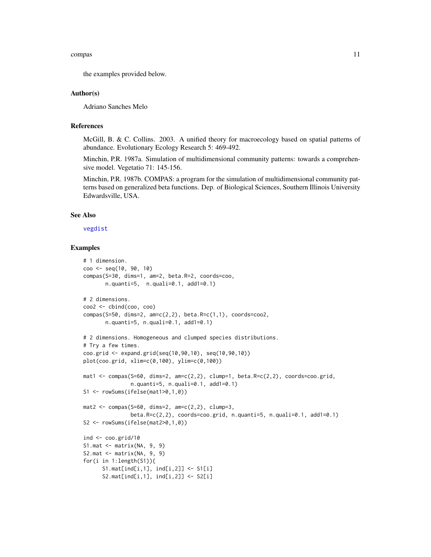#### <span id="page-10-0"></span>compas and the compass of the compass of the compass of the compass of the compass of the compass of the compass of the compass of the compass of the compass of the compass of the compass of the compass of the compass of t

the examples provided below.

#### Author(s)

Adriano Sanches Melo

#### References

McGill, B. & C. Collins. 2003. A unified theory for macroecology based on spatial patterns of abundance. Evolutionary Ecology Research 5: 469-492.

Minchin, P.R. 1987a. Simulation of multidimensional community patterns: towards a comprehensive model. Vegetatio 71: 145-156.

Minchin, P.R. 1987b. COMPAS: a program for the simulation of multidimensional community patterns based on generalized beta functions. Dep. of Biological Sciences, Southern Illinois University Edwardsville, USA.

#### See Also

[vegdist](#page-0-0)

# Examples

```
# 1 dimension.
coo <- seq(10, 90, 10)
compas(S=30, dims=1, am=2, beta.R=2, coords=coo,
       n.quanti=5, n.quali=0.1, add1=0.1)
# 2 dimensions.
coo2 <- cbind(coo, coo)
compas(S=50, dims=2, am=c(2,2), beta.R=c(1,1), coords=coo2,n.quanti=5, n.quali=0.1, add1=0.1)
# 2 dimensions. Homogeneous and clumped species distributions.
# Try a few times.
coo.grid <- expand.grid(seq(10,90,10), seq(10,90,10))
plot(coo.grid, xlim=c(0,100), ylim=c(0,100))
mat1 <- compas(S=60, dims=2, am=c(2,2), clump=1, beta.R=c(2,2), coords=coo.grid,
               n.quanti=5, n.quali=0.1, add1=0.1)
S1 <- rowSums(ifelse(mat1>0,1,0))
mat2 \leq compas(S=60, dims=2, am=c(2,2), clump=3,
               beta.R=c(2,2), coords=coo.grid, n.quanti=5, n.quali=0.1, add1=0.1)
S2 <- rowSums(ifelse(mat2>0,1,0))
ind <- coo.grid/10
S1.mat <- matrix(NA, 9, 9)
S2.mat \leq matrix(NA, 9, 9)
for(i in 1:length(S1)){
      S1.mat[ind[i,1], ind[i,2]] \leftarrow S1[i]S2.math[ind[i,1], ind[i,2]] \leftarrow S2[i]
```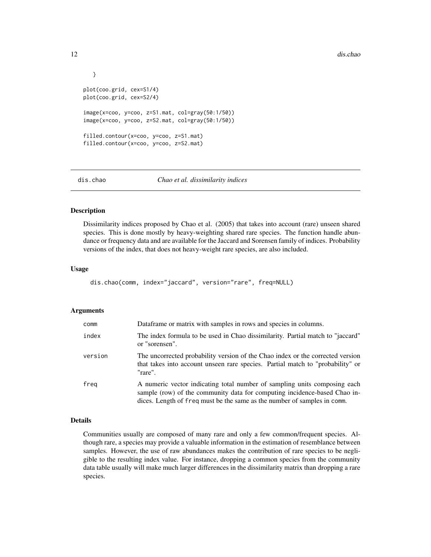```
}
plot(coo.grid, cex=S1/4)
plot(coo.grid, cex=S2/4)
image(x=coo, y=coo, z=S1.mat, col=gray(50:1/50))
image(x=coo, y=coo, z=S2.mat, col=gray(50:1/50))
filled.contour(x=coo, y=coo, z=S1.mat)
filled.contour(x=coo, y=coo, z=S2.mat)
```
<span id="page-11-1"></span>

```
dis.chao Chao et al. dissimilarity indices
```
#### Description

Dissimilarity indices proposed by Chao et al. (2005) that takes into account (rare) unseen shared species. This is done mostly by heavy-weighting shared rare species. The function handle abundance or frequency data and are available for the Jaccard and Sorensen family of indices. Probability versions of the index, that does not heavy-weight rare species, are also included.

#### Usage

```
dis.chao(comm, index="jaccard", version="rare", freq=NULL)
```
#### Arguments

| comm    | Dataframe or matrix with samples in rows and species in columns.                                                                                                                                                                   |
|---------|------------------------------------------------------------------------------------------------------------------------------------------------------------------------------------------------------------------------------------|
| index   | The index formula to be used in Chao dissimilarity. Partial match to "jaccard"<br>or "sorensen".                                                                                                                                   |
| version | The uncorrected probability version of the Chao index or the corrected version<br>that takes into account unseen rare species. Partial match to "probability" or<br>"rare".                                                        |
| freg    | A numeric vector indicating total number of sampling units composing each<br>sample (row) of the community data for computing incidence-based Chao in-<br>dices. Length of freq must be the same as the number of samples in comm. |

#### Details

Communities usually are composed of many rare and only a few common/frequent species. Although rare, a species may provide a valuable information in the estimation of resemblance between samples. However, the use of raw abundances makes the contribution of rare species to be negligible to the resulting index value. For instance, dropping a common species from the community data table usually will make much larger differences in the dissimilarity matrix than dropping a rare species.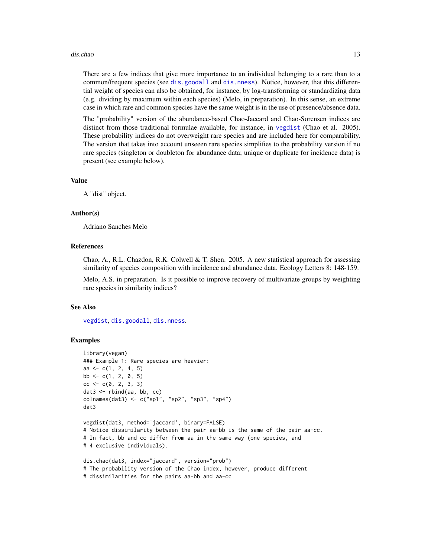#### <span id="page-12-0"></span>dis.chao 13

There are a few indices that give more importance to an individual belonging to a rare than to a common/frequent species (see [dis.goodall](#page-13-1) and [dis.nness](#page-15-1)). Notice, however, that this differential weight of species can also be obtained, for instance, by log-transforming or standardizing data (e.g. dividing by maximum within each species) (Melo, in preparation). In this sense, an extreme case in which rare and common species have the same weight is in the use of presence/absence data.

The "probability" version of the abundance-based Chao-Jaccard and Chao-Sorensen indices are distinct from those traditional formulae available, for instance, in [vegdist](#page-0-0) (Chao et al. 2005). These probability indices do not overweight rare species and are included here for comparability. The version that takes into account unseeen rare species simplifies to the probability version if no rare species (singleton or doubleton for abundance data; unique or duplicate for incidence data) is present (see example below).

#### Value

A "dist" object.

#### Author(s)

Adriano Sanches Melo

# References

Chao, A., R.L. Chazdon, R.K. Colwell  $&$  T. Shen. 2005. A new statistical approach for assessing similarity of species composition with incidence and abundance data. Ecology Letters 8: 148-159.

Melo, A.S. in preparation. Is it possible to improve recovery of multivariate groups by weighting rare species in similarity indices?

#### See Also

[vegdist](#page-0-0), [dis.goodall](#page-13-1), [dis.nness](#page-15-1).

#### Examples

```
library(vegan)
### Example 1: Rare species are heavier:
aa <- c(1, 2, 4, 5)
bb \leq c(1, 2, 0, 5)
cc < -c(0, 2, 3, 3)dat3 <- rbind(aa, bb, cc)
colnames(dat3) <- c("sp1", "sp2", "sp3", "sp4")
dat3
vegdist(dat3, method='jaccard', binary=FALSE)
# Notice dissimilarity between the pair aa-bb is the same of the pair aa-cc.
# In fact, bb and cc differ from aa in the same way (one species, and
# 4 exclusive individuals).
dis.chao(dat3, index="jaccard", version="prob")
# The probability version of the Chao index, however, produce different
# dissimilarities for the pairs aa-bb and aa-cc
```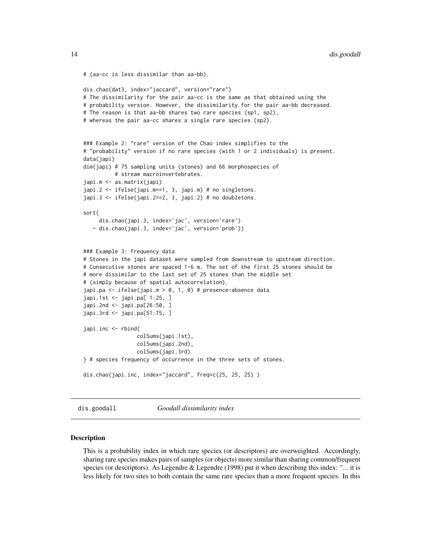```
# (aa-cc is less dissimilar than aa-bb).
dis.chao(dat3, index="jaccard", version="rare")
# The dissimilarity for the pair aa-cc is the same as that obtained using the
# probability version. However, the dissimilarity for the pair aa-bb decreased.
# The reason is that aa-bb shares two rare species (sp1, sp2),
# whereas the pair aa-cc shares a single rare species (sp2).
### Example 2: "rare" version of the Chao index simplifies to the
# "probability" version if no rare species (with 1 or 2 individuals) is present.
data(japi)
dim(japi) # 75 sampling units (stones) and 66 morphospecies of
          # stream macroinvertebrates.
japi.m <- as.matrix(japi)
japi.2 <- ifelse(japi.m==1, 3, japi.m) # no singletons.
japi.3 <- ifelse(japi.2==2, 3, japi.2) # no doubletons.
sort(
     dis.chao(japi.3, index='jac', version='rare')
   - dis.chao(japi.3, index='jac', version='prob'))
### Example 3: frequency data
# Stones in the japi dataset were sampled from downstream to upstream direction.
# Consecutive stones are spaced 1-6 m. The set of the first 25 stones should be
# more dissimilar to the last set of 25 stones than the middle set
# (simply because of spatial autocorrelation).
japi.pa <- ifelse(japi.m > 0, 1, 0) # presence-absence data
japi.1st <- japi.pa[ 1:25, ]
japi.2nd <- japi.pa[26:50, ]
japi.3rd <- japi.pa[51:75, ]
japi.inc <- rbind(
                 colSums(japi.1st),
                 colSums(japi.2nd),
                 colSums(japi.3rd)
) # species frequency of occurrence in the three sets of stones.
dis.chao(japi.inc, index="jaccard", freq=c(25, 25, 25) )
```
<span id="page-13-1"></span>dis.goodall *Goodall dissimilarity index*

#### Description

This is a probability index in which rare species (or descriptors) are overweighted. Accordingly, sharing rare species makes pairs of samples (or objects) more similar than sharing common/frequent species (or descriptors). As Legendre & Legendre (1998) put it when describing this index: "... it is less likely for two sites to both contain the same rare species than a more frequent species. In this

<span id="page-13-0"></span>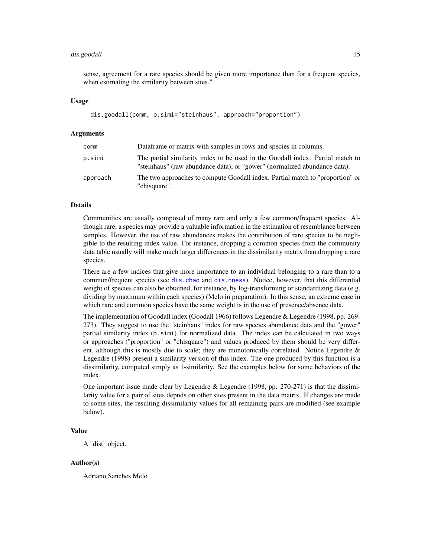#### <span id="page-14-0"></span>dis.goodall 15

sense, agreement for a rare species should be given more importance than for a frequent species, when estimating the similarity between sites.".

#### Usage

```
dis.goodall(comm, p.simi="steinhaus", approach="proportion")
```
#### Arguments

| comm     | Dataframe or matrix with samples in rows and species in columns.                                                                                            |
|----------|-------------------------------------------------------------------------------------------------------------------------------------------------------------|
| p.simi   | The partial similarity index to be used in the Goodall index. Partial match to<br>"steinhaus" (raw abundance data), or "gower" (normalized abundance data). |
| approach | The two approaches to compute Goodall index. Partial match to "proportion" or<br>"chisquare".                                                               |

# Details

Communities are usually composed of many rare and only a few common/frequent species. Although rare, a species may provide a valuable information in the estimation of resemblance between samples. However, the use of raw abundances makes the contribution of rare species to be negligible to the resulting index value. For instance, dropping a common species from the community data table usually will make much larger differences in the dissimilarity matrix than dropping a rare species.

There are a few indices that give more importance to an individual belonging to a rare than to a common/frequent species (see [dis.chao](#page-11-1) and [dis.nness](#page-15-1)). Notice, however, that this differential weight of species can also be obtained, for instance, by log-transforming or standardizing data (e.g. dividing by maximum within each species) (Melo in preparation). In this sense, an extreme case in which rare and common species have the same weight is in the use of presence/absence data.

The implementation of Goodall index (Goodall 1966) follows Legendre & Legendre (1998, pp. 269- 273). They suggest to use the "steinhaus" index for raw species abundance data and the "gower" partial similarity index (p.simi) for normalized data. The index can be calculated in two ways or approaches ("proportion" or "chisquare") and values produced by them should be very different, although this is mostly due to scale; they are monotonically correlated. Notice Legendre  $\&$ Legendre (1998) present a similarity version of this index. The one produced by this function is a dissimilarity, computed simply as 1-similarity. See the examples below for some behaviors of the index.

One important issue made clear by Legendre & Legendre (1998, pp. 270-271) is that the dissimilarity value for a pair of sites depnds on other sites present in the data matrix. If changes are made to some sites, the resulting dissimilarity values for all remaining pairs are modified (see example below).

#### Value

A "dist" object.

# Author(s)

Adriano Sanches Melo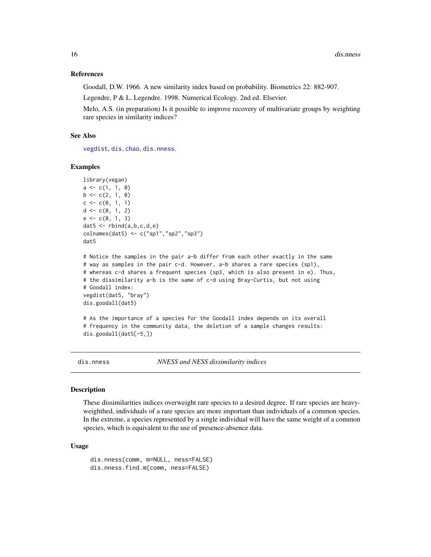#### <span id="page-15-0"></span>References

Goodall, D.W. 1966. A new similarity index based on probability. Biometrics 22: 882-907.

Legendre, P & L. Legendre. 1998. Numerical Ecology. 2nd ed. Elsevier.

Melo, A.S. (in preparation) Is it possible to improve recovery of multivariate groups by weighting rare species in similarity indices?

#### See Also

[vegdist](#page-0-0), [dis.chao](#page-11-1), [dis.nness](#page-15-1).

#### Examples

```
library(vegan)
a \leftarrow c(1, 1, 0)b \leftarrow c(2, 1, 0)c \leq -c(0, 1, 1)d \leftarrow c(\emptyset, 1, 2)e \leftarrow c(0, 1, 3)dat5 \leq rbind(a,b,c,d,e)
colnames(dat5) <- c("sp1","sp2","sp3")
dat5
```

```
# Notice the samples in the pair a-b differ from each other exactly in the same
# way as samples in the pair c-d. However, a-b shares a rare species (sp1),
# whereas c-d shares a frequent species (sp3, which is also present in e). Thus,
# the dissimilarity a-b is the same of c-d using Bray-Curtis, but not using
# Goodall index:
vegdist(dat5, "bray")
dis.goodall(dat5)
```
# As the importance of a species for the Goodall index depends on its overall # frequency in the community data, the deletion of a sample changes results: dis.goodall(dat5[-5,])

<span id="page-15-1"></span>dis.nness *NNESS and NESS dissimilarity indices*

#### **Description**

These dissimilarities indices overweight rare species to a desired degree. If rare species are heavyweighthed, individuals of a rare species are more important than individuals of a common species. In the extreme, a species represented by a single individual will have the same weight of a common species, which is equivalent to the use of presence-absence data.

#### Usage

dis.nness(comm, m=NULL, ness=FALSE) dis.nness.find.m(comm, ness=FALSE)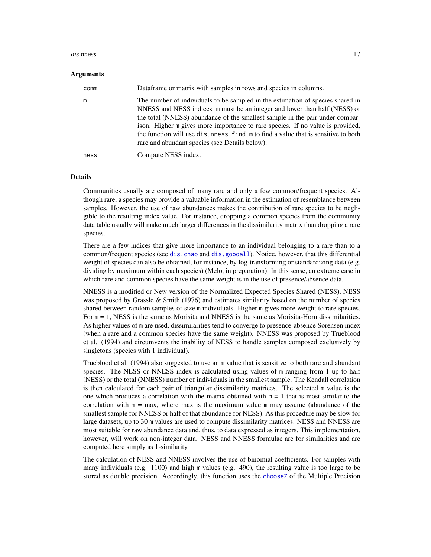#### <span id="page-16-0"></span>dis.nness 17

#### Arguments

| comm | Dataframe or matrix with samples in rows and species in columns.                                                                                                                                                                                                                                                                                                                                                                                                       |
|------|------------------------------------------------------------------------------------------------------------------------------------------------------------------------------------------------------------------------------------------------------------------------------------------------------------------------------------------------------------------------------------------------------------------------------------------------------------------------|
| m    | The number of individuals to be sampled in the estimation of species shared in<br>NNESS and NESS indices. m must be an integer and lower than half (NESS) or<br>the total (NNESS) abundance of the smallest sample in the pair under compar-<br>ison. Higher m gives more importance to rare species. If no value is provided,<br>the function will use dis. ness. find. m to find a value that is sensitive to both<br>rare and abundant species (see Details below). |
| ness | Compute NESS index.                                                                                                                                                                                                                                                                                                                                                                                                                                                    |

#### Details

Communities usually are composed of many rare and only a few common/frequent species. Although rare, a species may provide a valuable information in the estimation of resemblance between samples. However, the use of raw abundances makes the contribution of rare species to be negligible to the resulting index value. For instance, dropping a common species from the community data table usually will make much larger differences in the dissimilarity matrix than dropping a rare species.

There are a few indices that give more importance to an individual belonging to a rare than to a common/frequent species (see [dis.chao](#page-11-1) and [dis.goodall](#page-13-1)). Notice, however, that this differential weight of species can also be obtained, for instance, by log-transforming or standardizing data (e.g. dividing by maximum within each species) (Melo, in preparation). In this sense, an extreme case in which rare and common species have the same weight is in the use of presence/absence data.

NNESS is a modified or New version of the Normalized Expected Species Shared (NESS). NESS was proposed by Grassle & Smith (1976) and estimates similarity based on the number of species shared between random samples of size m individuals. Higher m gives more weight to rare species. For  $m = 1$ , NESS is the same as Morisita and NNESS is the same as Morisita-Horn dissimilarities. As higher values of m are used, dissimilarities tend to converge to presence-absence Sorensen index (when a rare and a common species have the same weight). NNESS was proposed by Trueblood et al. (1994) and circumvents the inability of NESS to handle samples composed exclusively by singletons (species with 1 individual).

Trueblood et al. (1994) also suggested to use an m value that is sensitive to both rare and abundant species. The NESS or NNESS index is calculated using values of m ranging from 1 up to half (NESS) or the total (NNESS) number of individuals in the smallest sample. The Kendall correlation is then calculated for each pair of triangular dissimilarity matrices. The selected m value is the one which produces a correlation with the matrix obtained with  $m = 1$  that is most similar to the correlation with  $m = max$ , where max is the maximum value m may assume (abundance of the smallest sample for NNESS or half of that abundance for NESS). As this procedure may be slow for large datasets, up to 30 m values are used to compute dissimilarity matrices. NESS and NNESS are most suitable for raw abundance data and, thus, to data expressed as integers. This implementation, however, will work on non-integer data. NESS and NNESS formulae are for similarities and are computed here simply as 1-similarity.

The calculation of NESS and NNESS involves the use of binomial coefficients. For samples with many individuals (e.g. 1100) and high m values (e.g. 490), the resulting value is too large to be stored as double precision. Accordingly, this function uses the [chooseZ](#page-0-0) of the Multiple Precision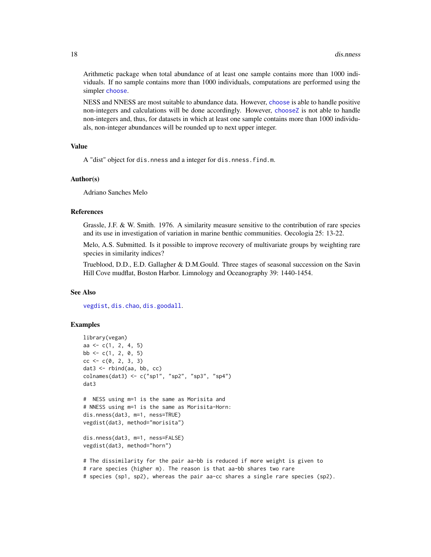Arithmetic package when total abundance of at least one sample contains more than 1000 individuals. If no sample contains more than 1000 individuals, computations are performed using the simpler [choose](#page-0-0).

NESS and NNESS are most suitable to abundance data. However, [choose](#page-0-0) is able to handle positive non-integers and calculations will be done accordingly. However, [chooseZ](#page-0-0) is not able to handle non-integers and, thus, for datasets in which at least one sample contains more than 1000 individuals, non-integer abundances will be rounded up to next upper integer.

#### Value

A "dist" object for dis.nness and a integer for dis.nness.find.m.

#### Author(s)

Adriano Sanches Melo

#### References

Grassle, J.F. & W. Smith. 1976. A similarity measure sensitive to the contribution of rare species and its use in investigation of variation in marine benthic communities. Oecologia 25: 13-22.

Melo, A.S. Submitted. Is it possible to improve recovery of multivariate groups by weighting rare species in similarity indices?

Trueblood, D.D., E.D. Gallagher & D.M.Gould. Three stages of seasonal succession on the Savin Hill Cove mudflat, Boston Harbor. Limnology and Oceanography 39: 1440-1454.

#### See Also

[vegdist](#page-0-0), [dis.chao](#page-11-1), [dis.goodall](#page-13-1).

#### Examples

```
library(vegan)
aa <- c(1, 2, 4, 5)
bb \leftarrow c(1, 2, 0, 5)cc < -c(0, 2, 3, 3)dat3 <- rbind(aa, bb, cc)
colnames(dat3) <- c("sp1", "sp2", "sp3", "sp4")
dat3
# NESS using m=1 is the same as Morisita and
# NNESS using m=1 is the same as Morisita-Horn:
dis.nness(dat3, m=1, ness=TRUE)
vegdist(dat3, method="morisita")
dis.nness(dat3, m=1, ness=FALSE)
vegdist(dat3, method="horn")
# The dissimilarity for the pair aa-bb is reduced if more weight is given to
```
# rare species (higher m). The reason is that aa-bb shares two rare # species (sp1, sp2), whereas the pair aa-cc shares a single rare species (sp2).

<span id="page-17-0"></span>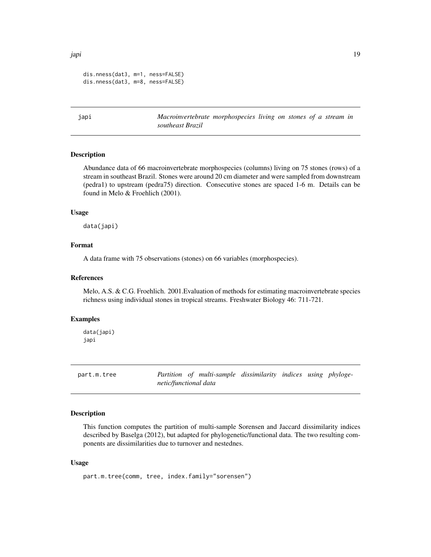<span id="page-18-0"></span>japi 19 metatra. Penuk mengentuk ke pada 19 metatra. Pada 19 metatra. Penuk mengentuk ke pada 19 metatra. Penu

```
dis.nness(dat3, m=1, ness=FALSE)
dis.nness(dat3, m=8, ness=FALSE)
```
japi *Macroinvertebrate morphospecies living on stones of a stream in southeast Brazil*

# **Description**

Abundance data of 66 macroinvertebrate morphospecies (columns) living on 75 stones (rows) of a stream in southeast Brazil. Stones were around 20 cm diameter and were sampled from downstream (pedra1) to upstream (pedra75) direction. Consecutive stones are spaced 1-6 m. Details can be found in Melo & Froehlich (2001).

# Usage

data(japi)

#### Format

A data frame with 75 observations (stones) on 66 variables (morphospecies).

#### References

Melo, A.S. & C.G. Froehlich. 2001.Evaluation of methods for estimating macroinvertebrate species richness using individual stones in tropical streams. Freshwater Biology 46: 711-721.

#### Examples

data(japi) japi

<span id="page-18-1"></span>part.m.tree *Partition of multi-sample dissimilarity indices using phylogenetic/functional data*

# Description

This function computes the partition of multi-sample Sorensen and Jaccard dissimilarity indices described by Baselga (2012), but adapted for phylogenetic/functional data. The two resulting components are dissimilarities due to turnover and nestednes.

#### Usage

part.m.tree(comm, tree, index.family="sorensen")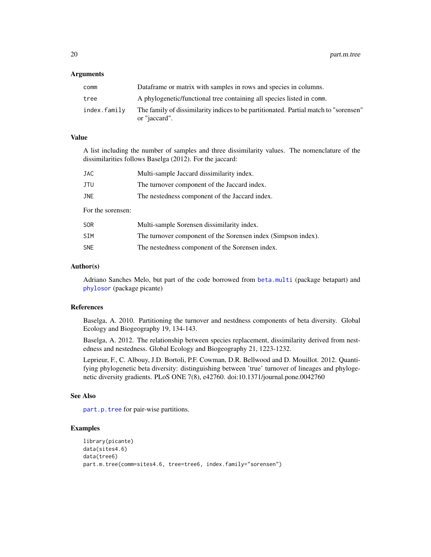#### <span id="page-19-0"></span>**Arguments**

| comm         | Dataframe or matrix with samples in rows and species in columns.                                      |
|--------------|-------------------------------------------------------------------------------------------------------|
| tree         | A phylogenetic/functional tree containing all species listed in comm.                                 |
| index.family | The family of dissimilarity indices to be partitionated. Partial match to "sorensen"<br>or "jaccard". |

#### Value

A list including the number of samples and three dissimilarity values. The nomenclature of the dissimilarities follows Baselga (2012). For the jaccard:

| JAC               | Multi-sample Jaccard dissimilarity index.      |
|-------------------|------------------------------------------------|
| JTU               | The turnover component of the Jaccard index.   |
| <b>JNE</b>        | The nestedness component of the Jaccard index. |
| For the sorensen: |                                                |
| <b>SOR</b>        | Multi-sample Sorensen dissimilarity index.     |

| SIM        |                                                 | The turnover component of the Sorensen index (Simpson index). |
|------------|-------------------------------------------------|---------------------------------------------------------------|
| <b>SNE</b> | The nestedness component of the Sorensen index. |                                                               |

#### Author(s)

Adriano Sanches Melo, but part of the code borrowed from [beta.multi](#page-0-0) (package betapart) and [phylosor](#page-0-0) (package picante)

#### References

Baselga, A. 2010. Partitioning the turnover and nestdness components of beta diversity. Global Ecology and Biogeography 19, 134-143.

Baselga, A. 2012. The relationship between species replacement, dissimilarity derived from nestedness and nestedness. Global Ecology and Biogeography 21, 1223-1232.

Leprieur, F., C. Albouy, J.D. Bortoli, P.F. Cowman, D.R. Bellwood and D. Mouillot. 2012. Quantifying phylogenetic beta diversity: distinguishing between 'true' turnover of lineages and phylogenetic diversity gradients. PLoS ONE 7(8), e42760. doi:10.1371/journal.pone.0042760

#### See Also

[part.p.tree](#page-20-1) for pair-wise partitions.

#### Examples

```
library(picante)
data(sites4.6)
data(tree6)
part.m.tree(comm=sites4.6, tree=tree6, index.family="sorensen")
```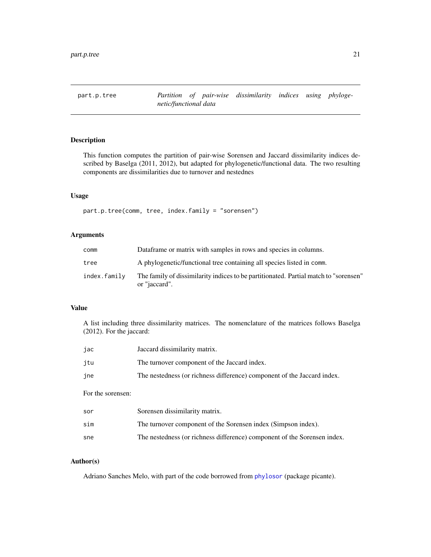<span id="page-20-1"></span><span id="page-20-0"></span>

# Description

This function computes the partition of pair-wise Sorensen and Jaccard dissimilarity indices described by Baselga (2011, 2012), but adapted for phylogenetic/functional data. The two resulting components are dissimilarities due to turnover and nestednes

#### Usage

part.p.tree(comm, tree, index.family = "sorensen")

# Arguments

| comm         | Dataframe or matrix with samples in rows and species in columns.                                      |
|--------------|-------------------------------------------------------------------------------------------------------|
| tree         | A phylogenetic/functional tree containing all species listed in comm.                                 |
| index.family | The family of dissimilarity indices to be partitionated. Partial match to "sorensen"<br>or "jaccard". |

#### Value

A list including three dissimilarity matrices. The nomenclature of the matrices follows Baselga (2012). For the jaccard:

| jac               | Jaccard dissimilarity matrix.                                            |
|-------------------|--------------------------------------------------------------------------|
| jtu               | The turnover component of the Jaccard index.                             |
| jne               | The nestedness (or richness difference) component of the Jaccard index.  |
| For the sorensen: |                                                                          |
| sor               | Sorensen dissimilarity matrix.                                           |
| sim               | The turnover component of the Sorensen index (Simpson index).            |
| sne               | The nestedness (or richness difference) component of the Sorensen index. |

# Author(s)

Adriano Sanches Melo, with part of the code borrowed from [phylosor](#page-0-0) (package picante).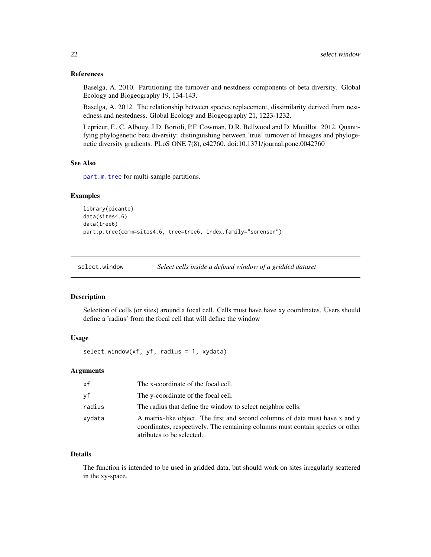#### <span id="page-21-0"></span>References

Baselga, A. 2010. Partitioning the turnover and nestdness components of beta diversity. Global Ecology and Biogeography 19, 134-143.

Baselga, A. 2012. The relationship between species replacement, dissimilarity derived from nestedness and nestedness. Global Ecology and Biogeography 21, 1223-1232.

Leprieur, F., C. Albouy, J.D. Bortoli, P.F. Cowman, D.R. Bellwood and D. Mouillot. 2012. Quantifying phylogenetic beta diversity: distinguishing between 'true' turnover of lineages and phylogenetic diversity gradients. PLoS ONE 7(8), e42760. doi:10.1371/journal.pone.0042760

#### See Also

[part.m.tree](#page-18-1) for multi-sample partitions.

#### Examples

```
library(picante)
data(sites4.6)
data(tree6)
part.p.tree(comm=sites4.6, tree=tree6, index.family="sorensen")
```
select.window *Select cells inside a defined window of a gridded dataset*

#### Description

Selection of cells (or sites) around a focal cell. Cells must have have xy coordinates. Users should define a 'radius' from the focal cell that will define the window

#### Usage

```
select.window(xf, yf, radius = 1, xydata)
```
# Arguments

| xf     | The x-coordinate of the focal cell.                                                                                                                                                         |
|--------|---------------------------------------------------------------------------------------------------------------------------------------------------------------------------------------------|
| νf     | The y-coordinate of the focal cell.                                                                                                                                                         |
| radius | The radius that define the window to select neighbor cells.                                                                                                                                 |
| xydata | A matrix-like object. The first and second columns of data must have x and y<br>coordinates, respectively. The remaining columns must contain species or other<br>atributes to be selected. |

#### Details

The function is intended to be used in gridded data, but should work on sites irregularly scattered in the xy-space.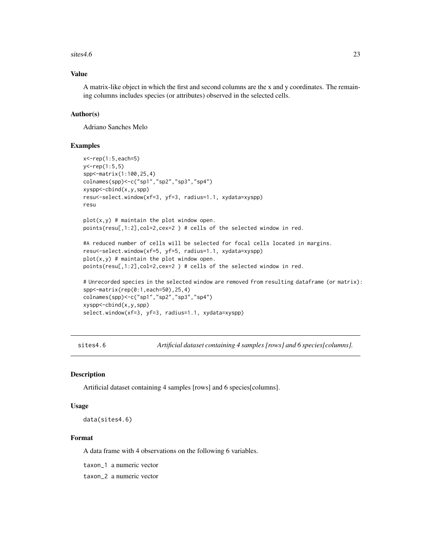#### <span id="page-22-0"></span> $sites4.6$  23

# Value

A matrix-like object in which the first and second columns are the x and y coordinates. The remaining columns includes species (or attributes) observed in the selected cells.

# Author(s)

Adriano Sanches Melo

#### Examples

```
x<-rep(1:5,each=5)
y<-rep(1:5,5)
spp<-matrix(1:100,25,4)
colnames(spp)<-c("sp1","sp2","sp3","sp4")
xyspp<-cbind(x,y,spp)
resu<-select.window(xf=3, yf=3, radius=1.1, xydata=xyspp)
resu
plot(x, y) # maintain the plot window open.
points(resu[,1:2],col=2,cex=2 ) # cells of the selected window in red.
#A reduced number of cells will be selected for focal cells located in margins.
resu<-select.window(xf=5, yf=5, radius=1.1, xydata=xyspp)
plot(x, y) # maintain the plot window open.
points(resu[,1:2],col=2,cex=2 ) # cells of the selected window in red.
# Unrecorded species in the selected window are removed from resulting dataframe (or matrix):
spp<-matrix(rep(0:1,each=50),25,4)
colnames(spp)<-c("sp1","sp2","sp3","sp4")
xyspp<-cbind(x,y,spp)
select.window(xf=3, yf=3, radius=1.1, xydata=xyspp)
```
sites4.6 *Artificial dataset containing 4 samples [rows] and 6 species[columns].*

#### **Description**

Artificial dataset containing 4 samples [rows] and 6 species[columns].

#### Usage

data(sites4.6)

#### Format

A data frame with 4 observations on the following 6 variables.

taxon\_1 a numeric vector

taxon\_2 a numeric vector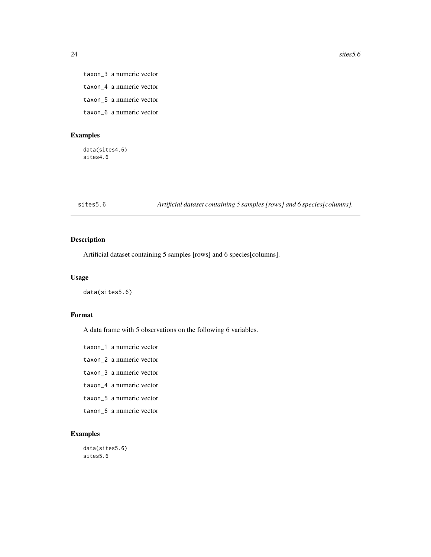taxon\_3 a numeric vector taxon\_4 a numeric vector taxon\_5 a numeric vector taxon\_6 a numeric vector

# Examples

data(sites4.6) sites4.6

sites5.6 *Artificial dataset containing 5 samples [rows] and 6 species[columns].*

# Description

Artificial dataset containing 5 samples [rows] and 6 species[columns].

# Usage

data(sites5.6)

# Format

A data frame with 5 observations on the following 6 variables.

taxon\_1 a numeric vector taxon\_2 a numeric vector

taxon\_3 a numeric vector

taxon\_4 a numeric vector

- taxon\_5 a numeric vector
- taxon\_6 a numeric vector

# Examples

data(sites5.6) sites5.6

<span id="page-23-0"></span>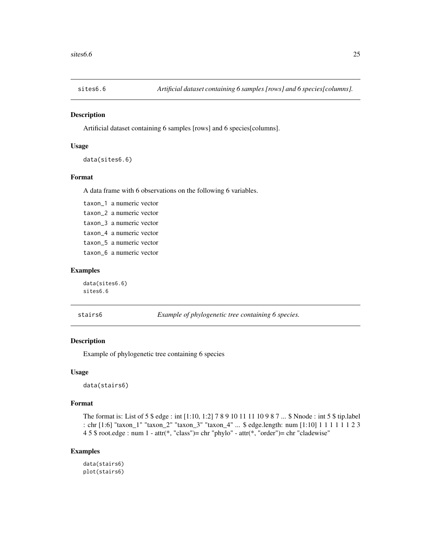<span id="page-24-0"></span>

#### Description

Artificial dataset containing 6 samples [rows] and 6 species[columns].

#### Usage

data(sites6.6)

# Format

A data frame with 6 observations on the following 6 variables.

taxon\_1 a numeric vector taxon\_2 a numeric vector taxon\_3 a numeric vector taxon\_4 a numeric vector taxon\_5 a numeric vector taxon\_6 a numeric vector

# Examples

data(sites6.6) sites6.6

stairs6 *Example of phylogenetic tree containing 6 species.*

# Description

Example of phylogenetic tree containing 6 species

#### Usage

data(stairs6)

# Format

The format is: List of 5 \$ edge : int [1:10, 1:2] 7 8 9 10 11 11 10 9 8 7 ... \$ Nnode : int 5 \$ tip.label : chr [1:6] "taxon\_1" "taxon\_2" "taxon\_3" "taxon\_4" ... \$ edge.length: num [1:10] 1 1 1 1 1 1 2 3 4 5 \$ root.edge : num 1 - attr(\*, "class")= chr "phylo" - attr(\*, "order")= chr "cladewise"

#### Examples

data(stairs6) plot(stairs6)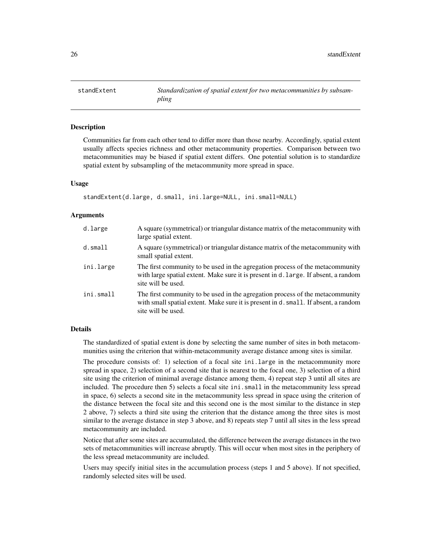<span id="page-25-0"></span>

# **Description**

Communities far from each other tend to differ more than those nearby. Accordingly, spatial extent usually affects species richness and other metacommunity properties. Comparison between two metacommunities may be biased if spatial extent differs. One potential solution is to standardize spatial extent by subsampling of the metacommunity more spread in space.

#### Usage

```
standExtent(d.large, d.small, ini.large=NULL, ini.small=NULL)
```
#### Arguments

| d.large    | A square (symmetrical) or triangular distance matrix of the metacommunity with<br>large spatial extent.                                                                                    |
|------------|--------------------------------------------------------------------------------------------------------------------------------------------------------------------------------------------|
| $d.s$ mall | A square (symmetrical) or triangular distance matrix of the metacommunity with<br>small spatial extent.                                                                                    |
| ini.large  | The first community to be used in the agregation process of the metacommunity<br>with large spatial extent. Make sure it is present in d. large. If absent, a random<br>site will be used. |
| ini.small  | The first community to be used in the agregation process of the metacommunity<br>with small spatial extent. Make sure it is present in d. small. If absent, a random<br>site will be used. |

# Details

The standardized of spatial extent is done by selecting the same number of sites in both metacommunities using the criterion that within-metacommunity average distance among sites is similar.

The procedure consists of: 1) selection of a focal site ini.large in the metacommunity more spread in space, 2) selection of a second site that is nearest to the focal one, 3) selection of a third site using the criterion of minimal average distance among them, 4) repeat step 3 until all sites are included. The procedure then 5) selects a focal site ini.small in the metacommunity less spread in space, 6) selects a second site in the metacommunity less spread in space using the criterion of the distance between the focal site and this second one is the most similar to the distance in step 2 above, 7) selects a third site using the criterion that the distance among the three sites is most similar to the average distance in step 3 above, and 8) repeats step 7 until all sites in the less spread metacommunity are included.

Notice that after some sites are accumulated, the difference between the average distances in the two sets of metacommunities will increase abruptly. This will occur when most sites in the periphery of the less spread metacommunity are included.

Users may specify initial sites in the accumulation process (steps 1 and 5 above). If not specified, randomly selected sites will be used.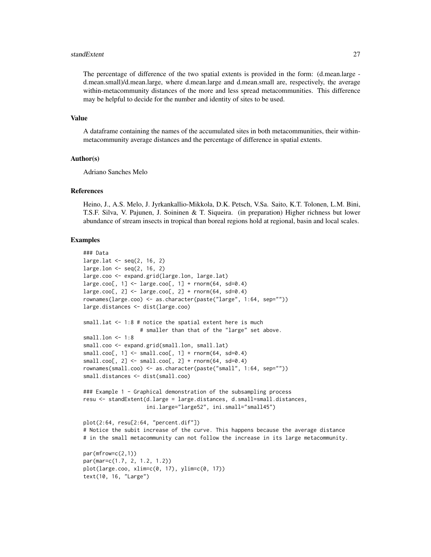#### standExtent 27

The percentage of difference of the two spatial extents is provided in the form: (d.mean.large d.mean.small)/d.mean.large, where d.mean.large and d.mean.small are, respectively, the average within-metacommunity distances of the more and less spread metacommunities. This difference may be helpful to decide for the number and identity of sites to be used.

#### Value

A dataframe containing the names of the accumulated sites in both metacommunities, their withinmetacommunity average distances and the percentage of difference in spatial extents.

#### Author(s)

Adriano Sanches Melo

#### References

Heino, J., A.S. Melo, J. Jyrkankallio-Mikkola, D.K. Petsch, V.Sa. Saito, K.T. Tolonen, L.M. Bini, T.S.F. Silva, V. Pajunen, J. Soininen & T. Siqueira. (in preparation) Higher richness but lower abundance of stream insects in tropical than boreal regions hold at regional, basin and local scales.

#### Examples

```
### Data
large.lat \leq seq(2, 16, 2)
large.lon \leq seq(2, 16, 2)
large.coo <- expand.grid(large.lon, large.lat)
large.coo[, 1] <- large.coo[, 1] + rnorm(64, sd=0.4)large.coo[, 2] <- large.coo[, 2] + rnorm(64, sd=0.4)rownames(large.coo) <- as.character(paste("large", 1:64, sep=""))
large.distances <- dist(large.coo)
small.lat <- 1:8 # notice the spatial extent here is much
                  # smaller than that of the "large" set above.
small.lon <- 1:8
small.coo <- expand.grid(small.lon, small.lat)
small.coo[, 1] \leftarrow small.coo[, 1] + rnorm(64, sd=0.4)small.coo[, 2] \leftarrow small.coo[, 2] + rnorm(64, sd=0.4)rownames(small.coo) <- as.character(paste("small", 1:64, sep=""))
small.distances <- dist(small.coo)
### Example 1 - Graphical demonstration of the subsampling process
resu <- standExtent(d.large = large.distances, d.small=small.distances,
                    ini.large="large52", ini.small="small45")
plot(2:64, resu[2:64, "percent.dif"])
# Notice the subit increase of the curve. This happens because the average distance
# in the small metacommunity can not follow the increase in its large metacommunity.
par(mfrow=c(2,1))
par(mar=c(1.7, 2, 1.2, 1.2))
plot(large.coo, xlim=c(0, 17), ylim=c(0, 17))
text(10, 16, "Large")
```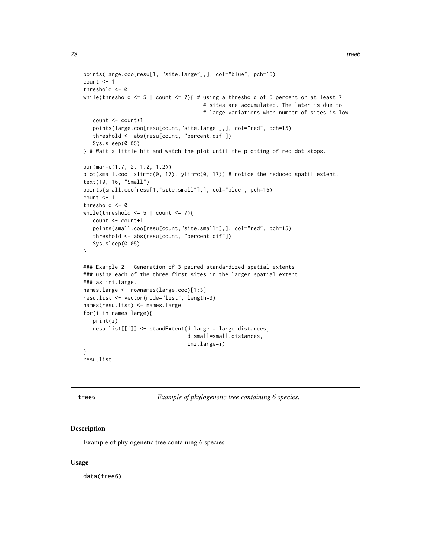```
points(large.coo[resu[1, "site.large"],], col="blue", pch=15)
count < -1threshold <- 0
while(threshold \leq 5 | count \leq 7){ # using a threshold of 5 percent or at least 7
                                      # sites are accumulated. The later is due to
                                      # large variations when number of sites is low.
  count <- count+1
  points(large.coo[resu[count,"site.large"],], col="red", pch=15)
  threshold <- abs(resu[count, "percent.dif"])
  Sys.sleep(0.05)
} # Wait a little bit and watch the plot until the plotting of red dot stops.
par(mar=c(1.7, 2, 1.2, 1.2))
plot(small.coo, xlim=c(0, 17), ylim=c(0, 17)) # notice the reduced spatil extent.
text(10, 16, "Small")
points(small.coo[resu[1,"site.small"],], col="blue", pch=15)
count < -1threshold <- 0
while(threshold \leq 5 | count \leq 7){
  count <- count+1
  points(small.coo[resu[count,"site.small"],], col="red", pch=15)
  threshold <- abs(resu[count, "percent.dif"])
  Sys.sleep(0.05)
}
### Example 2 - Generation of 3 paired standardized spatial extents
### using each of the three first sites in the larger spatial extent
### as ini.large.
names.large <- rownames(large.coo)[1:3]
resu.list <- vector(mode="list", length=3)
names(resu.list) <- names.large
for(i in names.large){
  print(i)
  resu.list[[i]] <- standExtent(d.large = large.distances,
                                 d.small=small.distances,
                                 ini.large=i)
}
```
resu.list

tree6 *Example of phylogenetic tree containing 6 species.*

#### Description

Example of phylogenetic tree containing 6 species

#### Usage

data(tree6)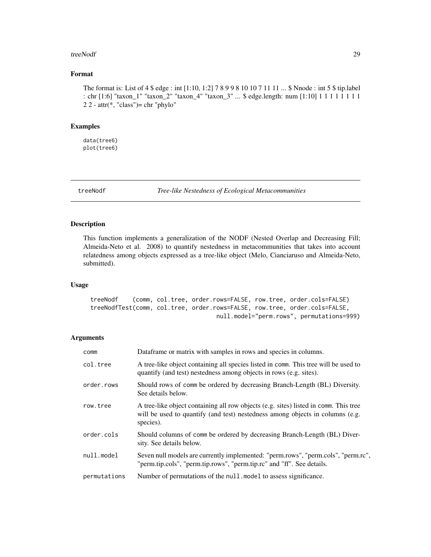#### <span id="page-28-0"></span>treeNodf 29

# Format

The format is: List of 4 \$ edge : int [1:10, 1:2] 7 8 9 9 8 10 10 7 11 11 ... \$ Nnode : int 5 \$ tip.label : chr [1:6] "taxon\_1" "taxon\_2" "taxon\_4" "taxon\_3" ... \$ edge.length: num [1:10] 1 1 1 1 1 1 1 1  $2 2 - \text{attr}(*, "class") = \text{chr "phylo" }$ 

#### Examples

data(tree6) plot(tree6)

treeNodf *Tree-like Nestedness of Ecological Metacommunities*

# Description

This function implements a generalization of the NODF (Nested Overlap and Decreasing Fill; Almeida-Neto et al. 2008) to quantify nestedness in metacommunities that takes into account relatedness among objects expressed as a tree-like object (Melo, Cianciaruso and Almeida-Neto, submitted).

#### Usage

```
treeNodf (comm, col.tree, order.rows=FALSE, row.tree, order.cols=FALSE)
treeNodfTest(comm, col.tree, order.rows=FALSE, row.tree, order.cols=FALSE,
                                   null.model="perm.rows", permutations=999)
```
#### Arguments

| comm         | Dataframe or matrix with samples in rows and species in columns.                                                                                                                   |
|--------------|------------------------------------------------------------------------------------------------------------------------------------------------------------------------------------|
| col.tree     | A tree-like object containing all species listed in comm. This tree will be used to<br>quantify (and test) nestedness among objects in rows (e.g. sites).                          |
| order.rows   | Should rows of comm be ordered by decreasing Branch-Length (BL) Diversity.<br>See details below.                                                                                   |
| row.tree     | A tree-like object containing all row objects (e.g. sites) listed in comm. This tree<br>will be used to quantify (and test) nestedness among objects in columns (e.g.<br>species). |
| order.cols   | Should columns of comm be ordered by decreasing Branch-Length (BL) Diver-<br>sity. See details below.                                                                              |
| null.model   | Seven null models are currently implemented: "perm.rows", "perm.cols", "perm.rc",<br>"perm.tip.cols", "perm.tip.rows", "perm.tip.rc" and "ff". See details.                        |
| permutations | Number of permutations of the null. model to assess significance.                                                                                                                  |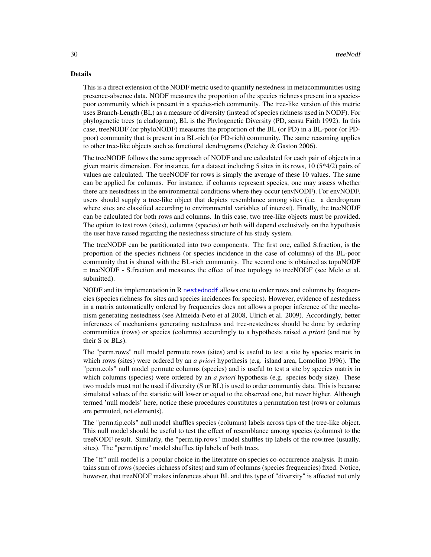#### <span id="page-29-0"></span>Details

This is a direct extension of the NODF metric used to quantify nestedness in metacommunities using presence-absence data. NODF measures the proportion of the species richness present in a speciespoor community which is present in a species-rich community. The tree-like version of this metric uses Branch-Length (BL) as a measure of diversity (instead of species richness used in NODF). For phylogenetic trees (a cladogram), BL is the Phylogenetic Diversity (PD, sensu Faith 1992). In this case, treeNODF (or phyloNODF) measures the proportion of the BL (or PD) in a BL-poor (or PDpoor) community that is present in a BL-rich (or PD-rich) community. The same reasoning applies to other tree-like objects such as functional dendrograms (Petchey & Gaston 2006).

The treeNODF follows the same approach of NODF and are calculated for each pair of objects in a given matrix dimension. For instance, for a dataset including 5 sites in its rows,  $10(5*4/2)$  pairs of values are calculated. The treeNODF for rows is simply the average of these 10 values. The same can be applied for columns. For instance, if columns represent species, one may assess whether there are nestedness in the environmental conditions where they occur (envNODF). For envNODF, users should supply a tree-like object that depicts resemblance among sites (i.e. a dendrogram where sites are classified according to environmental variables of interest). Finally, the treeNODF can be calculated for both rows and columns. In this case, two tree-like objects must be provided. The option to test rows (sites), columns (species) or both will depend exclusively on the hypothesis the user have raised regarding the nestedness structure of his study system.

The treeNODF can be partitionated into two components. The first one, called S.fraction, is the proportion of the species richness (or species incidence in the case of columns) of the BL-poor community that is shared with the BL-rich community. The second one is obtained as topoNODF = treeNODF - S.fraction and measures the effect of tree topology to treeNODF (see Melo et al. submitted).

NODF and its implementation in R [nestednodf](#page-0-0) allows one to order rows and columns by frequencies (species richness for sites and species incidences for species). However, evidence of nestedness in a matrix automatically ordered by frequencies does not allows a proper inference of the mechanism generating nestedness (see Almeida-Neto et al 2008, Ulrich et al. 2009). Accordingly, better inferences of mechanisms generating nestedness and tree-nestedness should be done by ordering communities (rows) or species (columns) accordingly to a hypothesis raised *a priori* (and not by their S or BLs).

The "perm.rows" null model permute rows (sites) and is useful to test a site by species matrix in which rows (sites) were ordered by an *a priori* hypothesis (e.g. island area, Lomolino 1996). The "perm.cols" null model permute columns (species) and is useful to test a site by species matrix in which columns (species) were ordered by an *a priori* hypothesis (e.g. species body size). These two models must not be used if diversity (S or BL) is used to order communtiy data. This is because simulated values of the statistic will lower or equal to the observed one, but never higher. Although termed 'null models' here, notice these procedures constitutes a permutation test (rows or columns are permuted, not elements).

The "perm.tip.cols" null model shuffles species (columns) labels across tips of the tree-like object. This null model should be useful to test the effect of resemblance among species (columns) to the treeNODF result. Similarly, the "perm.tip.rows" model shuffles tip labels of the row.tree (usually, sites). The "perm.tip.rc" model shuffles tip labels of both trees.

The "ff" null model is a popular choice in the literature on species co-occurrence analysis. It maintains sum of rows (species richness of sites) and sum of columns (species frequencies) fixed. Notice, however, that treeNODF makes inferences about BL and this type of "diversity" is affected not only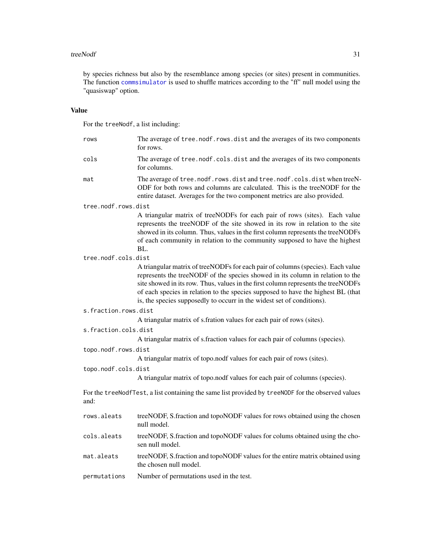#### <span id="page-30-0"></span>treeNodf 31

by species richness but also by the resemblance among species (or sites) present in communities. The function [commsimulator](#page-0-0) is used to shuffle matrices according to the "ff" null model using the "quasiswap" option.

# Value

For the treeNodf, a list including:

| rows                 | The average of tree.nodf.rows.dist and the averages of its two components<br>for rows.                                                                                                                                                                                                                                                                                                                               |
|----------------------|----------------------------------------------------------------------------------------------------------------------------------------------------------------------------------------------------------------------------------------------------------------------------------------------------------------------------------------------------------------------------------------------------------------------|
| cols                 | The average of tree.nodf.cols.dist and the averages of its two components<br>for columns.                                                                                                                                                                                                                                                                                                                            |
| mat                  | The average of tree.nodf.rows.dist and tree.nodf.cols.dist when treeN-<br>ODF for both rows and columns are calculated. This is the treeNODF for the<br>entire dataset. Averages for the two component metrics are also provided.                                                                                                                                                                                    |
| tree.nodf.rows.dist  |                                                                                                                                                                                                                                                                                                                                                                                                                      |
|                      | A triangular matrix of treeNODFs for each pair of rows (sites). Each value<br>represents the treeNODF of the site showed in its row in relation to the site<br>showed in its column. Thus, values in the first column represents the treeNODFs<br>of each community in relation to the community supposed to have the highest<br>BL.                                                                                 |
| tree.nodf.cols.dist  |                                                                                                                                                                                                                                                                                                                                                                                                                      |
|                      | A triangular matrix of treeNODFs for each pair of columns (species). Each value<br>represents the treeNODF of the species showed in its column in relation to the<br>site showed in its row. Thus, values in the first column represents the treeNODFs<br>of each species in relation to the species supposed to have the highest BL (that<br>is, the species supposedly to occurr in the widest set of conditions). |
| s.fraction.rows.dist |                                                                                                                                                                                                                                                                                                                                                                                                                      |
|                      | A triangular matrix of s.fration values for each pair of rows (sites).                                                                                                                                                                                                                                                                                                                                               |
| s.fraction.cols.dist |                                                                                                                                                                                                                                                                                                                                                                                                                      |
|                      | A triangular matrix of s.fraction values for each pair of columns (species).                                                                                                                                                                                                                                                                                                                                         |
| topo.nodf.rows.dist  |                                                                                                                                                                                                                                                                                                                                                                                                                      |
|                      | A triangular matrix of topo.nodf values for each pair of rows (sites).                                                                                                                                                                                                                                                                                                                                               |
| topo.nodf.cols.dist  |                                                                                                                                                                                                                                                                                                                                                                                                                      |
|                      | A triangular matrix of topo.nodf values for each pair of columns (species).                                                                                                                                                                                                                                                                                                                                          |
| and:                 | For the treeNodfTest, a list containing the same list provided by treeNODF for the observed values                                                                                                                                                                                                                                                                                                                   |
| rows.aleats          | treeNODF, S.fraction and topoNODF values for rows obtained using the chosen<br>null model.                                                                                                                                                                                                                                                                                                                           |
| cols.aleats          | treeNODF, S.fraction and topoNODF values for colums obtained using the cho-<br>sen null model.                                                                                                                                                                                                                                                                                                                       |
| mat.aleats           | treeNODF, S.fraction and topoNODF values for the entire matrix obtained using<br>the chosen null model.                                                                                                                                                                                                                                                                                                              |
| permutations         | Number of permutations used in the test.                                                                                                                                                                                                                                                                                                                                                                             |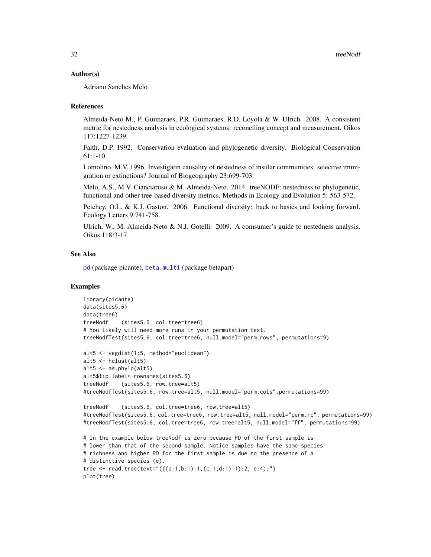### <span id="page-31-0"></span>Author(s)

Adriano Sanches Melo

#### References

Almeida-Neto M., P. Guimaraes, P.R. Guimaraes, R.D. Loyola & W. Ulrich. 2008. A consistent metric for nestedness analysis in ecological systems: reconciling concept and measurement. Oikos 117:1227-1239.

Faith, D.P. 1992. Conservation evaluation and phylogenetic diversity. Biological Conservation 61:1-10.

Lomolino, M.V. 1996. Investigatin causality of nestedness of insular communities: selective immigration or extinctions? Journal of Biogeography 23:699-703.

Melo, A.S., M.V. Cianciaruso & M. Almeida-Neto. 2014. treeNODF: nestedness to phylogenetic, functional and other tree-based diversity metrics. Methods in Ecology and Evolution 5: 563-572.

Petchey, O.L. & K.J. Gaston. 2006. Functional diversity: back to basics and looking forward. Ecology Letters 9:741-758.

Ulrich, W., M. Almeida-Neto & N.J. Gotelli. 2009. A comsumer's guide to nestedness analysis. Oikos 118:3-17.

#### See Also

[pd](#page-0-0) (package picante), [beta.multi](#page-0-0) (package betapart)

# Examples

```
library(picante)
data(sites5.6)
data(tree6)
treeNodf (sites5.6, col.tree=tree6)
# You likely will need more runs in your permutation test.
treeNodfTest(sites5.6, col.tree=tree6, null.model="perm.rows", permutations=9)
alt5 <- vegdist(1:5, method="euclidean")
alt5 <- hclust(alt5)
alt5 <- as.phylo(alt5)
alt5$tip.label<-rownames(sites5.6)
treeNodf (sites5.6, row.tree=alt5)
#treeNodfTest(sites5.6, row.tree=alt5, null.model="perm.cols",permutations=99)
treeNodf (sites5.6, col.tree=tree6, row.tree=alt5)
#treeNodfTest(sites5.6, col.tree=tree6, row.tree=alt5, null.model="perm.rc", permutations=99)
#treeNodfTest(sites5.6, col.tree=tree6, row.tree=alt5, null.model="ff", permutations=99)
# In the example below treeNodf is zero because PD of the first sample is
# lower than that of the second sample. Notice samples have the same species
# richness and higher PD for the first sample is due to the presence of a
# distinctive species (e).
tree <- read.tree(text="(((a:1,b:1):1,(c:1,d:1):1):2, e:4);")
plot(tree)
```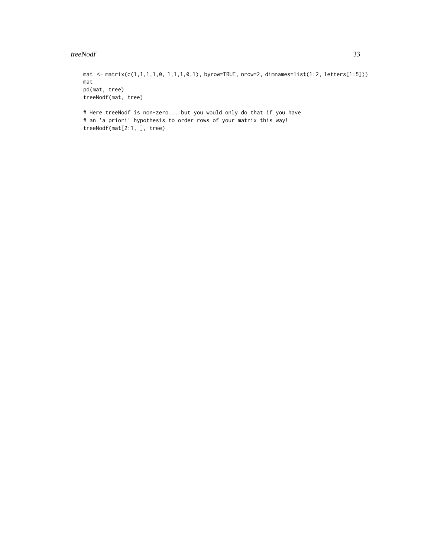#### treeNodf 33

```
mat <- matrix(c(1,1,1,1,0, 1,1,1,0,1), byrow=TRUE, nrow=2, dimnames=list(1:2, letters[1:5]))
mat
pd(mat, tree)
treeNodf(mat, tree)
# Here treeNodf is non-zero... but you would only do that if you have
```
# an 'a priori' hypothesis to order rows of your matrix this way! treeNodf(mat[2:1, ], tree)